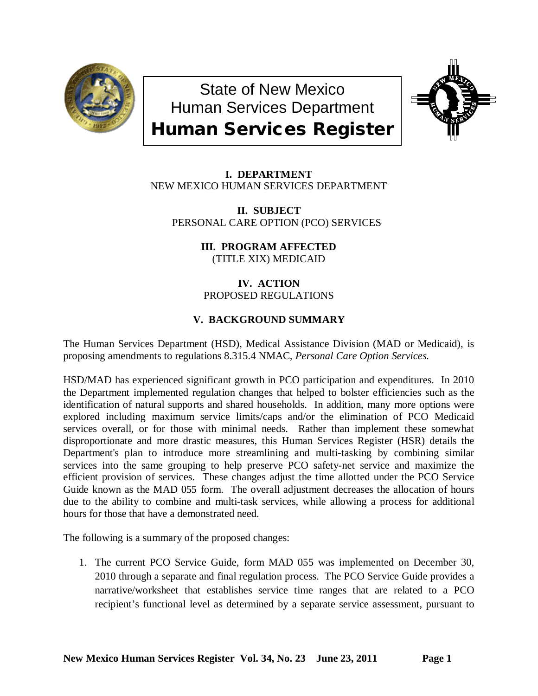

State of New Mexico Human Services Department Human Services Register



**I. DEPARTMENT** NEW MEXICO HUMAN SERVICES DEPARTMENT

**II. SUBJECT** PERSONAL CARE OPTION (PCO) SERVICES

> **III. PROGRAM AFFECTED** (TITLE XIX) MEDICAID

**IV. ACTION** PROPOSED REGULATIONS

# **V. BACKGROUND SUMMARY**

The Human Services Department (HSD), Medical Assistance Division (MAD or Medicaid), is proposing amendments to regulations 8.315.4 NMAC*, Personal Care Option Services.* 

HSD/MAD has experienced significant growth in PCO participation and expenditures. In 2010 the Department implemented regulation changes that helped to bolster efficiencies such as the identification of natural supports and shared households. In addition, many more options were explored including maximum service limits/caps and/or the elimination of PCO Medicaid services overall, or for those with minimal needs. Rather than implement these somewhat disproportionate and more drastic measures, this Human Services Register (HSR) details the Department's plan to introduce more streamlining and multi-tasking by combining similar services into the same grouping to help preserve PCO safety-net service and maximize the efficient provision of services. These changes adjust the time allotted under the PCO Service Guide known as the MAD 055 form. The overall adjustment decreases the allocation of hours due to the ability to combine and multi-task services, while allowing a process for additional hours for those that have a demonstrated need.

The following is a summary of the proposed changes:

1. The current PCO Service Guide, form MAD 055 was implemented on December 30, 2010 through a separate and final regulation process. The PCO Service Guide provides a narrative/worksheet that establishes service time ranges that are related to a PCO recipient's functional level as determined by a separate service assessment, pursuant to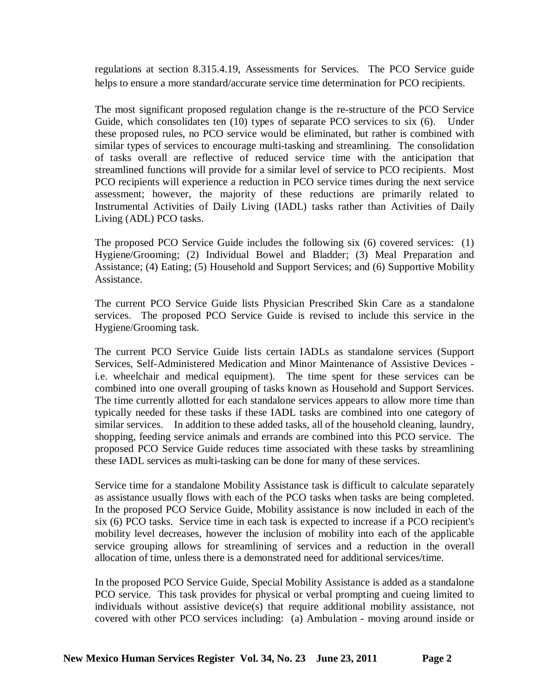regulations at section 8.315.4.19, Assessments for Services. The PCO Service guide helps to ensure a more standard/accurate service time determination for PCO recipients.

The most significant proposed regulation change is the re-structure of the PCO Service Guide, which consolidates ten (10) types of separate PCO services to six (6). Under these proposed rules, no PCO service would be eliminated, but rather is combined with similar types of services to encourage multi-tasking and streamlining. The consolidation of tasks overall are reflective of reduced service time with the anticipation that streamlined functions will provide for a similar level of service to PCO recipients. Most PCO recipients will experience a reduction in PCO service times during the next service assessment; however, the majority of these reductions are primarily related to Instrumental Activities of Daily Living (IADL) tasks rather than Activities of Daily Living (ADL) PCO tasks.

The proposed PCO Service Guide includes the following six (6) covered services: (1) Hygiene/Grooming; (2) Individual Bowel and Bladder; (3) Meal Preparation and Assistance; (4) Eating; (5) Household and Support Services; and (6) Supportive Mobility Assistance.

The current PCO Service Guide lists Physician Prescribed Skin Care as a standalone services. The proposed PCO Service Guide is revised to include this service in the Hygiene/Grooming task.

The current PCO Service Guide lists certain IADLs as standalone services (Support Services, Self-Administered Medication and Minor Maintenance of Assistive Devices i.e. wheelchair and medical equipment). The time spent for these services can be combined into one overall grouping of tasks known as Household and Support Services. The time currently allotted for each standalone services appears to allow more time than typically needed for these tasks if these IADL tasks are combined into one category of similar services. In addition to these added tasks, all of the household cleaning, laundry, shopping, feeding service animals and errands are combined into this PCO service. The proposed PCO Service Guide reduces time associated with these tasks by streamlining these IADL services as multi-tasking can be done for many of these services.

Service time for a standalone Mobility Assistance task is difficult to calculate separately as assistance usually flows with each of the PCO tasks when tasks are being completed. In the proposed PCO Service Guide, Mobility assistance is now included in each of the six (6) PCO tasks. Service time in each task is expected to increase if a PCO recipient's mobility level decreases, however the inclusion of mobility into each of the applicable service grouping allows for streamlining of services and a reduction in the overall allocation of time, unless there is a demonstrated need for additional services/time.

In the proposed PCO Service Guide, Special Mobility Assistance is added as a standalone PCO service. This task provides for physical or verbal prompting and cueing limited to individuals without assistive device(s) that require additional mobility assistance, not covered with other PCO services including: (a) Ambulation - moving around inside or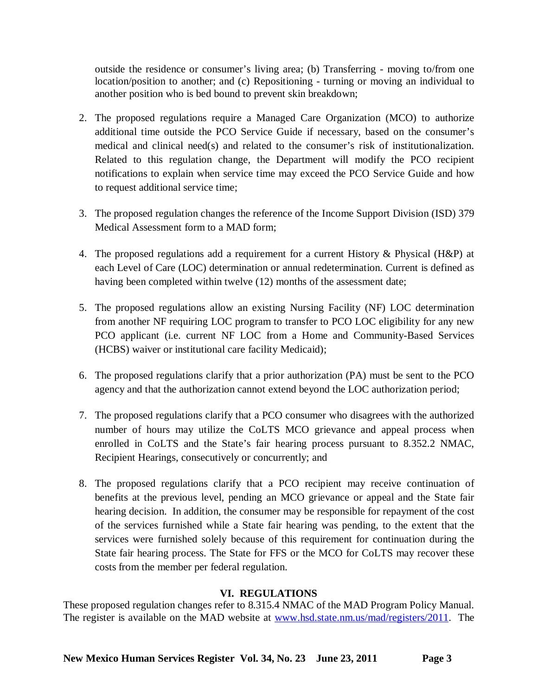outside the residence or consumer's living area; (b) Transferring - moving to/from one location/position to another; and (c) Repositioning - turning or moving an individual to another position who is bed bound to prevent skin breakdown;

- 2. The proposed regulations require a Managed Care Organization (MCO) to authorize additional time outside the PCO Service Guide if necessary, based on the consumer's medical and clinical need(s) and related to the consumer's risk of institutionalization. Related to this regulation change, the Department will modify the PCO recipient notifications to explain when service time may exceed the PCO Service Guide and how to request additional service time;
- 3. The proposed regulation changes the reference of the Income Support Division (ISD) 379 Medical Assessment form to a MAD form;
- 4. The proposed regulations add a requirement for a current History & Physical (H&P) at each Level of Care (LOC) determination or annual redetermination. Current is defined as having been completed within twelve (12) months of the assessment date;
- 5. The proposed regulations allow an existing Nursing Facility (NF) LOC determination from another NF requiring LOC program to transfer to PCO LOC eligibility for any new PCO applicant (i.e. current NF LOC from a Home and Community-Based Services (HCBS) waiver or institutional care facility Medicaid);
- 6. The proposed regulations clarify that a prior authorization (PA) must be sent to the PCO agency and that the authorization cannot extend beyond the LOC authorization period;
- 7. The proposed regulations clarify that a PCO consumer who disagrees with the authorized number of hours may utilize the CoLTS MCO grievance and appeal process when enrolled in CoLTS and the State's fair hearing process pursuant to 8.352.2 NMAC, Recipient Hearings, consecutively or concurrently; and
- 8. The proposed regulations clarify that a PCO recipient may receive continuation of benefits at the previous level, pending an MCO grievance or appeal and the State fair hearing decision. In addition, the consumer may be responsible for repayment of the cost of the services furnished while a State fair hearing was pending, to the extent that the services were furnished solely because of this requirement for continuation during the State fair hearing process. The State for FFS or the MCO for CoLTS may recover these costs from the member per federal regulation.

## **VI. REGULATIONS**

These proposed regulation changes refer to 8.315.4 NMAC of the MAD Program Policy Manual. The register is available on the MAD website at [www.hsd.state.nm.us/mad/registers/2011.](http://www.hsd.state.nm.us/mad/registers/2011) The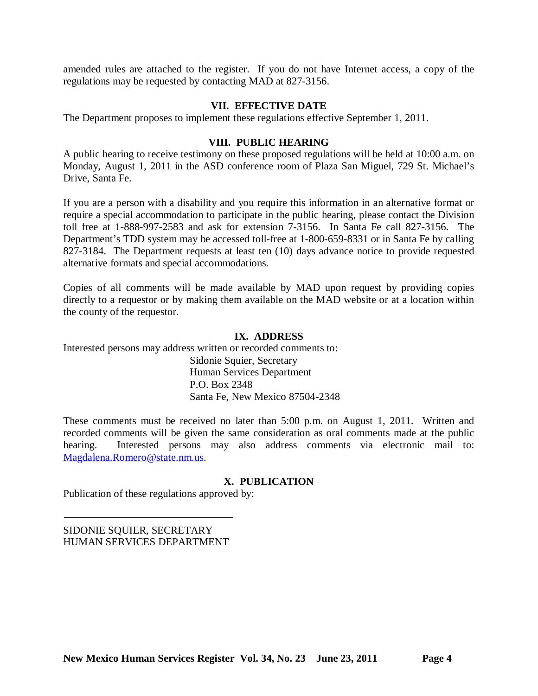amended rules are attached to the register. If you do not have Internet access, a copy of the regulations may be requested by contacting MAD at 827-3156.

## **VII. EFFECTIVE DATE**

The Department proposes to implement these regulations effective September 1, 2011.

## **VIII. PUBLIC HEARING**

A public hearing to receive testimony on these proposed regulations will be held at 10:00 a.m. on Monday, August 1, 2011 in the ASD conference room of Plaza San Miguel, 729 St. Michael's Drive, Santa Fe.

If you are a person with a disability and you require this information in an alternative format or require a special accommodation to participate in the public hearing, please contact the Division toll free at 1-888-997-2583 and ask for extension 7-3156. In Santa Fe call 827-3156. The Department's TDD system may be accessed toll-free at 1-800-659-8331 or in Santa Fe by calling 827-3184. The Department requests at least ten (10) days advance notice to provide requested alternative formats and special accommodations.

Copies of all comments will be made available by MAD upon request by providing copies directly to a requestor or by making them available on the MAD website or at a location within the county of the requestor.

## **IX. ADDRESS**

Interested persons may address written or recorded comments to:

Sidonie Squier, Secretary Human Services Department P.O. Box 2348 Santa Fe, New Mexico 87504-2348

These comments must be received no later than 5:00 p.m. on August 1, 2011. Written and recorded comments will be given the same consideration as oral comments made at the public hearing. Interested persons may also address comments via electronic mail to: [Magdalena.Romero@state.nm.us.](mailto:Magdalena.Romero@state.nm.us)

## **X. PUBLICATION**

Publication of these regulations approved by:

SIDONIE SQUIER, SECRETARY HUMAN SERVICES DEPARTMENT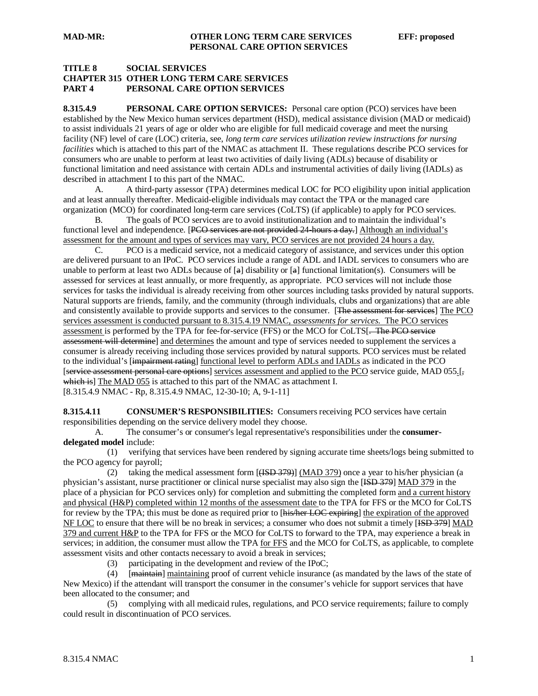#### **TITLE 8 SOCIAL SERVICES CHAPTER 315 OTHER LONG TERM CARE SERVICES PART 4 PERSONAL CARE OPTION SERVICES**

**8.315.4.9 PERSONAL CARE OPTION SERVICES:** Personal care option (PCO) services have been established by the New Mexico human services department (HSD), medical assistance division (MAD or medicaid) to assist individuals 21 years of age or older who are eligible for full medicaid coverage and meet the nursing facility (NF) level of care (LOC) criteria, see, *long term care services utilization review instructions for nursing facilities* which is attached to this part of the NMAC as attachment II. These regulations describe PCO services for consumers who are unable to perform at least two activities of daily living (ADLs) because of disability or functional limitation and need assistance with certain ADLs and instrumental activities of daily living (IADLs) as described in attachment I to this part of the NMAC.

A. A third-party assessor (TPA) determines medical LOC for PCO eligibility upon initial application and at least annually thereafter. Medicaid-eligible individuals may contact the TPA or the managed care organization (MCO) for coordinated long-term care services (CoLTS) (if applicable) to apply for PCO services.

B. The goals of PCO services are to avoid institutionalization and to maintain the individual's functional level and independence. [PCO services are not provided 24 hours a day.] Although an individual's assessment for the amount and types of services may vary, PCO services are not provided 24 hours a day.

C. PCO is a medicaid service, not a medicaid category of assistance, and services under this option are delivered pursuant to an IPoC. PCO services include a range of ADL and IADL services to consumers who are unable to perform at least two ADLs because of  $[a]$  disability or  $[a]$  functional limitation(s). Consumers will be assessed for services at least annually, or more frequently, as appropriate. PCO services will not include those services for tasks the individual is already receiving from other sources including tasks provided by natural supports. Natural supports are friends, family, and the community (through individuals, clubs and organizations) that are able and consistently available to provide supports and services to the consumer. [The assessment for services] The PCO services assessment is conducted pursuant to 8.315.4.19 NMAC, *assessments for services.* The PCO services assessment is performed by the TPA for fee-for-service (FFS) or the MCO for CoLTS[. The PCO service assessment will determinel and determines the amount and type of services needed to supplement the services a consumer is already receiving including those services provided by natural supports. PCO services must be related to the individual's [impairment rating] functional level to perform ADLs and IADLs as indicated in the PCO [service assessment personal care options] services assessment and applied to the PCO service guide, MAD 055.[, which is] The MAD 055 is attached to this part of the NMAC as attachment I. [8.315.4.9 NMAC - Rp, 8.315.4.9 NMAC, 12-30-10; A, 9-1-11]

**8.315.4.11 CONSUMER'S RESPONSIBILITIES:** Consumers receiving PCO services have certain responsibilities depending on the service delivery model they choose.

A. The consumer's or consumer's legal representative's responsibilities under the **consumerdelegated model** include:

 (1) verifying that services have been rendered by signing accurate time sheets/logs being submitted to the PCO agency for payroll;

(2) taking the medical assessment form  $[(**ISBN 379**)]$  (MAD 379) once a year to his/her physician (a physician's assistant, nurse practitioner or clinical nurse specialist may also sign the [ISD 379] MAD 379 in the place of a physician for PCO services only) for completion and submitting the completed form and a current history and physical (H&P) completed within 12 months of the assessment date to the TPA for FFS or the MCO for CoLTS for review by the TPA; this must be done as required prior to [his/her LOC expiring] the expiration of the approved NF LOC to ensure that there will be no break in services; a consumer who does not submit a timely [ISD 379] MAD 379 and current H&P to the TPA for FFS or the MCO for CoLTS to forward to the TPA, may experience a break in services; in addition, the consumer must allow the TPA for FFS and the MCO for CoLTS, as applicable, to complete assessment visits and other contacts necessary to avoid a break in services;

(3) participating in the development and review of the IPoC;

(4) [maintain] maintaining proof of current vehicle insurance (as mandated by the laws of the state of New Mexico) if the attendant will transport the consumer in the consumer's vehicle for support services that have been allocated to the consumer; and

 (5) complying with all medicaid rules, regulations, and PCO service requirements; failure to comply could result in discontinuation of PCO services.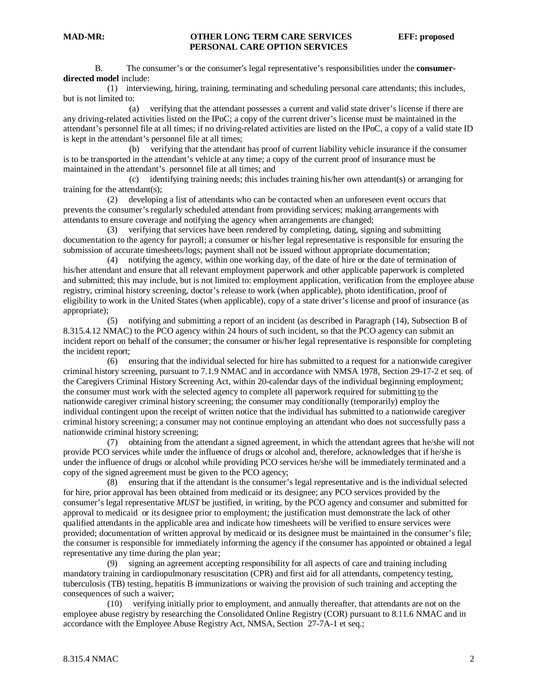B. The consumer's or the consumer's legal representative's responsibilities under the **consumerdirected model** include:

 (1) interviewing, hiring, training, terminating and scheduling personal care attendants; this includes, but is not limited to:

 (a) verifying that the attendant possesses a current and valid state driver's license if there are any driving-related activities listed on the IPoC; a copy of the current driver's license must be maintained in the attendant's personnel file at all times; if no driving-related activities are listed on the IPoC, a copy of a valid state ID is kept in the attendant's personnel file at all times;

 (b) verifying that the attendant has proof of current liability vehicle insurance if the consumer is to be transported in the attendant's vehicle at any time; a copy of the current proof of insurance must be maintained in the attendant's personnel file at all times; and

 (c) identifying training needs; this includes training his/her own attendant(s) or arranging for training for the attendant(s);

 (2) developing a list of attendants who can be contacted when an unforeseen event occurs that prevents the consumer's regularly scheduled attendant from providing services; making arrangements with attendants to ensure coverage and notifying the agency when arrangements are changed;

 (3) verifying that services have been rendered by completing, dating, signing and submitting documentation to the agency for payroll; a consumer or his/her legal representative is responsible for ensuring the submission of accurate timesheets/logs; payment shall not be issued without appropriate documentation;

 (4) notifying the agency, within one working day, of the date of hire or the date of termination of his/her attendant and ensure that all relevant employment paperwork and other applicable paperwork is completed and submitted; this may include, but is not limited to: employment application, verification from the employee abuse registry, criminal history screening, doctor's release to work (when applicable), photo identification, proof of eligibility to work in the United States (when applicable), copy of a state driver's license and proof of insurance (as appropriate);

 (5) notifying and submitting a report of an incident (as described in Paragraph (14), Subsection B of 8.315.4.12 NMAC) to the PCO agency within 24 hours of such incident, so that the PCO agency can submit an incident report on behalf of the consumer; the consumer or his/her legal representative is responsible for completing the incident report;

 (6) ensuring that the individual selected for hire has submitted to a request for a nationwide caregiver criminal history screening, pursuant to 7.1.9 NMAC and in accordance with NMSA 1978, Section 29-17-2 et seq. of the Caregivers Criminal History Screening Act, within 20-calendar days of the individual beginning employment; the consumer must work with the selected agency to complete all paperwork required for submitting to the nationwide caregiver criminal history screening; the consumer may conditionally (temporarily) employ the individual contingent upon the receipt of written notice that the individual has submitted to a nationwide caregiver criminal history screening; a consumer may not continue employing an attendant who does not successfully pass a nationwide criminal history screening;

 (7) obtaining from the attendant a signed agreement, in which the attendant agrees that he/she will not provide PCO services while under the influence of drugs or alcohol and, therefore, acknowledges that if he/she is under the influence of drugs or alcohol while providing PCO services he/she will be immediately terminated and a copy of the signed agreement must be given to the PCO agency;

 (8) ensuring that if the attendant is the consumer's legal representative and is the individual selected for hire, prior approval has been obtained from medicaid or its designee; any PCO services provided by the consumer's legal representative *MUST* be justified, in writing, by the PCO agency and consumer and submitted for approval to medicaid or its designee prior to employment; the justification must demonstrate the lack of other qualified attendants in the applicable area and indicate how timesheets will be verified to ensure services were provided; documentation of written approval by medicaid or its designee must be maintained in the consumer's file; the consumer is responsible for immediately informing the agency if the consumer has appointed or obtained a legal representative any time during the plan year;

 (9) signing an agreement accepting responsibility for all aspects of care and training including mandatory training in cardiopulmonary resuscitation (CPR) and first aid for all attendants, competency testing, tuberculosis (TB) testing, hepatitis B immunizations or waiving the provision of such training and accepting the consequences of such a waiver;<br> $(10)$  verifying inj

 (10) verifying initially prior to employment, and annually thereafter, that attendants are not on the employee abuse registry by researching the Consolidated Online Registry (COR) pursuant to 8.11.6 NMAC and in accordance with the Employee Abuse Registry Act, NMSA, Section 27-7A-1 et seq.;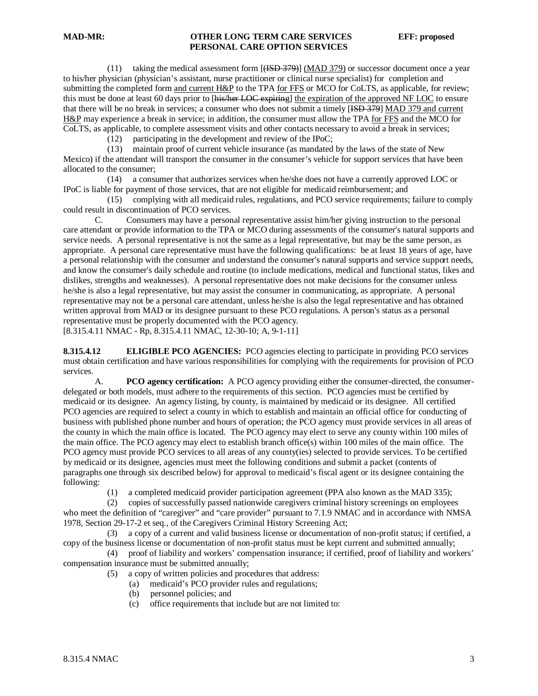(11) taking the medical assessment form  $[\frac{\text{(KSD 379)}}{\text{(MAD 379)}}]$  or successor document once a year to his/her physician (physician's assistant, nurse practitioner or clinical nurse specialist) for completion and submitting the completed form and current H&P to the TPA for FFS or MCO for CoLTS, as applicable, for review; this must be done at least 60 days prior to [his/her LOC expiring] the expiration of the approved NF LOC to ensure that there will be no break in services; a consumer who does not submit a timely [<del>ISD 379</del>] MAD 379 and current H&P may experience a break in service; in addition, the consumer must allow the TPA for FFS and the MCO for CoLTS, as applicable, to complete assessment visits and other contacts necessary to avoid a break in services;

(12) participating in the development and review of the IPoC;

 (13) maintain proof of current vehicle insurance (as mandated by the laws of the state of New Mexico) if the attendant will transport the consumer in the consumer's vehicle for support services that have been allocated to the consumer;

 (14) a consumer that authorizes services when he/she does not have a currently approved LOC or IPoC is liable for payment of those services, that are not eligible for medicaid reimbursement; and

 (15) complying with all medicaid rules, regulations, and PCO service requirements; failure to comply could result in discontinuation of PCO services.

C. Consumers may have a personal representative assist him/her giving instruction to the personal care attendant or provide information to the TPA or MCO during assessments of the consumer's natural supports and service needs. A personal representative is not the same as a legal representative, but may be the same person, as appropriate. A personal care representative must have the following qualifications: be at least 18 years of age, have a personal relationship with the consumer and understand the consumer's natural supports and service support needs, and know the consumer's daily schedule and routine (to include medications, medical and functional status, likes and dislikes, strengths and weaknesses). A personal representative does not make decisions for the consumer unless he/she is also a legal representative, but may assist the consumer in communicating, as appropriate. A personal representative may not be a personal care attendant, unless he/she is also the legal representative and has obtained written approval from MAD or its designee pursuant to these PCO regulations. A person's status as a personal representative must be properly documented with the PCO agency. [8.315.4.11 NMAC - Rp, 8.315.4.11 NMAC, 12-30-10; A, 9-1-11]

**8.315.4.12 ELIGIBLE PCO AGENCIES:** PCO agencies electing to participate in providing PCO services must obtain certification and have various responsibilities for complying with the requirements for provision of PCO services.

A. **PCO agency certification:** A PCO agency providing either the consumer-directed, the consumerdelegated or both models, must adhere to the requirements of this section. PCO agencies must be certified by medicaid or its designee. An agency listing, by county, is maintained by medicaid or its designee. All certified PCO agencies are required to select a county in which to establish and maintain an official office for conducting of business with published phone number and hours of operation; the PCO agency must provide services in all areas of the county in which the main office is located. The PCO agency may elect to serve any county within 100 miles of the main office. The PCO agency may elect to establish branch office(s) within 100 miles of the main office. The PCO agency must provide PCO services to all areas of any county(ies) selected to provide services. To be certified by medicaid or its designee, agencies must meet the following conditions and submit a packet (contents of paragraphs one through six described below) for approval to medicaid's fiscal agent or its designee containing the following:

(1) a completed medicaid provider participation agreement (PPA also known as the MAD 335);

 (2) copies of successfully passed nationwide caregivers criminal history screenings on employees who meet the definition of "caregiver" and "care provider" pursuant to 7.1.9 NMAC and in accordance with NMSA 1978, Section 29-17-2 et seq., of the Caregivers Criminal History Screening Act;

 (3) a copy of a current and valid business license or documentation of non-profit status; if certified, a copy of the business license or documentation of non-profit status must be kept current and submitted annually;

 (4) proof of liability and workers' compensation insurance; if certified, proof of liability and workers' compensation insurance must be submitted annually;

- (5) a copy of written policies and procedures that address:
	- (a) medicaid's PCO provider rules and regulations;
	- (b) personnel policies; and
	- (c) office requirements that include but are not limited to: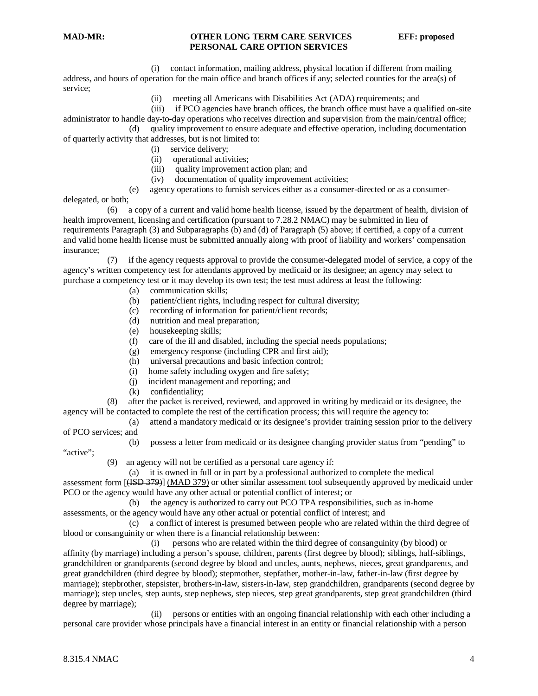(i) contact information, mailing address, physical location if different from mailing address, and hours of operation for the main office and branch offices if any; selected counties for the area(s) of service;

(ii) meeting all Americans with Disabilities Act (ADA) requirements; and

(iii) if PCO agencies have branch offices, the branch office must have a qualified on-site

administrator to handle day-to-day operations who receives direction and supervision from the main/central office; (d) quality improvement to ensure adequate and effective operation, including documentation of quarterly activity that addresses, but is not limited to:

- (i) service delivery;
- (ii) operational activities;
- (iii) quality improvement action plan; and
- (iv) documentation of quality improvement activities;

(e) agency operations to furnish services either as a consumer-directed or as a consumer-

delegated, or both;

 (6) a copy of a current and valid home health license, issued by the department of health, division of health improvement, licensing and certification (pursuant to 7.28.2 NMAC) may be submitted in lieu of requirements Paragraph (3) and Subparagraphs (b) and (d) of Paragraph (5) above; if certified, a copy of a current and valid home health license must be submitted annually along with proof of liability and workers' compensation insurance;

 (7) if the agency requests approval to provide the consumer-delegated model of service, a copy of the agency's written competency test for attendants approved by medicaid or its designee; an agency may select to purchase a competency test or it may develop its own test; the test must address at least the following:

- (a) communication skills;
- (b) patient/client rights, including respect for cultural diversity;
- (c) recording of information for patient/client records;
- nutrition and meal preparation;
- (e) housekeeping skills;
- (f) care of the ill and disabled, including the special needs populations;
- (g) emergency response (including CPR and first aid);
- (h) universal precautions and basic infection control;
- (i) home safety including oxygen and fire safety;
- (j) incident management and reporting; and
- (k) confidentiality;

 (8) after the packet is received, reviewed, and approved in writing by medicaid or its designee, the agency will be contacted to complete the rest of the certification process; this will require the agency to:

- (a) attend a mandatory medicaid or its designee's provider training session prior to the delivery
- of PCO services; and
	- (b) possess a letter from medicaid or its designee changing provider status from "pending" to

"active":

(9) an agency will not be certified as a personal care agency if:

 (a) it is owned in full or in part by a professional authorized to complete the medical assessment form [(ISD 379)] (MAD 379) or other similar assessment tool subsequently approved by medicaid under PCO or the agency would have any other actual or potential conflict of interest; or

 (b) the agency is authorized to carry out PCO TPA responsibilities, such as in-home assessments, or the agency would have any other actual or potential conflict of interest; and

 (c) a conflict of interest is presumed between people who are related within the third degree of blood or consanguinity or when there is a financial relationship between:

 (i) persons who are related within the third degree of consanguinity (by blood) or affinity (by marriage) including a person's spouse, children, parents (first degree by blood); siblings, half-siblings, grandchildren or grandparents (second degree by blood and uncles, aunts, nephews, nieces, great grandparents, and great grandchildren (third degree by blood); stepmother, stepfather, mother-in-law, father-in-law (first degree by marriage); stepbrother, stepsister, brothers-in-law, sisters-in-law, step grandchildren, grandparents (second degree by marriage); step uncles, step aunts, step nephews, step nieces, step great grandparents, step great grandchildren (third degree by marriage);

 (ii) persons or entities with an ongoing financial relationship with each other including a personal care provider whose principals have a financial interest in an entity or financial relationship with a person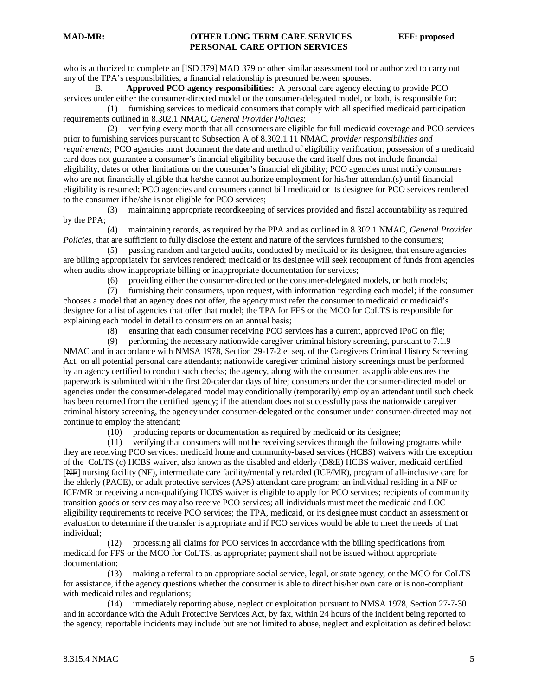who is authorized to complete an [ISD 379] MAD 379 or other similar assessment tool or authorized to carry out any of the TPA's responsibilities; a financial relationship is presumed between spouses.

B. **Approved PCO agency responsibilities:** A personal care agency electing to provide PCO services under either the consumer-directed model or the consumer-delegated model, or both, is responsible for:

 (1) furnishing services to medicaid consumers that comply with all specified medicaid participation requirements outlined in 8.302.1 NMAC, *General Provider Policies*;

 (2) verifying every month that all consumers are eligible for full medicaid coverage and PCO services prior to furnishing services pursuant to Subsection A of 8.302.1.11 NMAC, *provider responsibilities and requirements*; PCO agencies must document the date and method of eligibility verification; possession of a medicaid card does not guarantee a consumer's financial eligibility because the card itself does not include financial eligibility, dates or other limitations on the consumer's financial eligibility; PCO agencies must notify consumers who are not financially eligible that he/she cannot authorize employment for his/her attendant(s) until financial eligibility is resumed; PCO agencies and consumers cannot bill medicaid or its designee for PCO services rendered to the consumer if he/she is not eligible for PCO services;

 (3) maintaining appropriate recordkeeping of services provided and fiscal accountability as required by the PPA;

 (4) maintaining records, as required by the PPA and as outlined in 8.302.1 NMAC, *General Provider Policies*, that are sufficient to fully disclose the extent and nature of the services furnished to the consumers;

 (5) passing random and targeted audits, conducted by medicaid or its designee, that ensure agencies are billing appropriately for services rendered; medicaid or its designee will seek recoupment of funds from agencies when audits show inappropriate billing or inappropriate documentation for services;

(6) providing either the consumer-directed or the consumer-delegated models, or both models;

 (7) furnishing their consumers, upon request, with information regarding each model; if the consumer chooses a model that an agency does not offer, the agency must refer the consumer to medicaid or medicaid's designee for a list of agencies that offer that model; the TPA for FFS or the MCO for CoLTS is responsible for explaining each model in detail to consumers on an annual basis;

(8) ensuring that each consumer receiving PCO services has a current, approved IPoC on file;

 (9) performing the necessary nationwide caregiver criminal history screening, pursuant to 7.1.9 NMAC and in accordance with NMSA 1978, Section 29-17-2 et seq. of the Caregivers Criminal History Screening Act, on all potential personal care attendants; nationwide caregiver criminal history screenings must be performed by an agency certified to conduct such checks; the agency, along with the consumer, as applicable ensures the paperwork is submitted within the first 20-calendar days of hire; consumers under the consumer-directed model or agencies under the consumer-delegated model may conditionally (temporarily) employ an attendant until such check has been returned from the certified agency; if the attendant does not successfully pass the nationwide caregiver criminal history screening, the agency under consumer-delegated or the consumer under consumer-directed may not continue to employ the attendant;

(10) producing reports or documentation as required by medicaid or its designee;

 (11) verifying that consumers will not be receiving services through the following programs while they are receiving PCO services: medicaid home and community-based services (HCBS) waivers with the exception of the CoLTS (c) HCBS waiver, also known as the disabled and elderly (D&E) HCBS waiver, medicaid certified [NF] nursing facility (NF), intermediate care facility/mentally retarded (ICF/MR), program of all-inclusive care for the elderly (PACE), or adult protective services (APS) attendant care program; an individual residing in a NF or ICF/MR or receiving a non-qualifying HCBS waiver is eligible to apply for PCO services; recipients of community transition goods or services may also receive PCO services; all individuals must meet the medicaid and LOC eligibility requirements to receive PCO services; the TPA, medicaid, or its designee must conduct an assessment or evaluation to determine if the transfer is appropriate and if PCO services would be able to meet the needs of that individual;

 (12) processing all claims for PCO services in accordance with the billing specifications from medicaid for FFS or the MCO for CoLTS, as appropriate; payment shall not be issued without appropriate documentation;

 (13) making a referral to an appropriate social service, legal, or state agency, or the MCO for CoLTS for assistance, if the agency questions whether the consumer is able to direct his/her own care or is non-compliant with medicaid rules and regulations;

 (14) immediately reporting abuse, neglect or exploitation pursuant to NMSA 1978, Section 27-7-30 and in accordance with the Adult Protective Services Act, by fax, within 24 hours of the incident being reported to the agency; reportable incidents may include but are not limited to abuse, neglect and exploitation as defined below: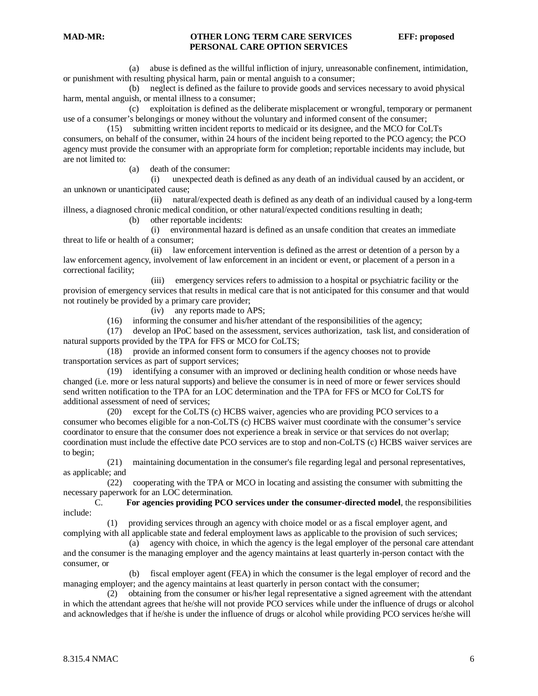(a) abuse is defined as the willful infliction of injury, unreasonable confinement, intimidation, or punishment with resulting physical harm, pain or mental anguish to a consumer;

 (b) neglect is defined as the failure to provide goods and services necessary to avoid physical harm, mental anguish, or mental illness to a consumer;

 (c) exploitation is defined as the deliberate misplacement or wrongful, temporary or permanent use of a consumer's belongings or money without the voluntary and informed consent of the consumer;

 (15) submitting written incident reports to medicaid or its designee, and the MCO for CoLTs consumers, on behalf of the consumer, within 24 hours of the incident being reported to the PCO agency; the PCO agency must provide the consumer with an appropriate form for completion; reportable incidents may include, but are not limited to:

(a) death of the consumer:

 (i) unexpected death is defined as any death of an individual caused by an accident, or an unknown or unanticipated cause;

 (ii) natural/expected death is defined as any death of an individual caused by a long-term illness, a diagnosed chronic medical condition, or other natural/expected conditions resulting in death;

(b) other reportable incidents:

 (i) environmental hazard is defined as an unsafe condition that creates an immediate threat to life or health of a consumer;

 (ii) law enforcement intervention is defined as the arrest or detention of a person by a law enforcement agency, involvement of law enforcement in an incident or event, or placement of a person in a correctional facility;

 (iii) emergency services refers to admission to a hospital or psychiatric facility or the provision of emergency services that results in medical care that is not anticipated for this consumer and that would not routinely be provided by a primary care provider;

(iv) any reports made to APS;

(16) informing the consumer and his/her attendant of the responsibilities of the agency;

 (17) develop an IPoC based on the assessment, services authorization, task list, and consideration of natural supports provided by the TPA for FFS or MCO for CoLTS;

 (18) provide an informed consent form to consumers if the agency chooses not to provide transportation services as part of support services;

 (19) identifying a consumer with an improved or declining health condition or whose needs have changed (i.e. more or less natural supports) and believe the consumer is in need of more or fewer services should send written notification to the TPA for an LOC determination and the TPA for FFS or MCO for CoLTS for additional assessment of need of services;

 (20) except for the CoLTS (c) HCBS waiver, agencies who are providing PCO services to a consumer who becomes eligible for a non-CoLTS (c) HCBS waiver must coordinate with the consumer's service coordinator to ensure that the consumer does not experience a break in service or that services do not overlap; coordination must include the effective date PCO services are to stop and non-CoLTS (c) HCBS waiver services are to begin;

 (21) maintaining documentation in the consumer's file regarding legal and personal representatives, as applicable; and

 (22) cooperating with the TPA or MCO in locating and assisting the consumer with submitting the necessary paperwork for an LOC determination.

C. **For agencies providing PCO services under the consumer-directed model**, the responsibilities include:

 (1) providing services through an agency with choice model or as a fiscal employer agent, and complying with all applicable state and federal employment laws as applicable to the provision of such services;

 (a) agency with choice, in which the agency is the legal employer of the personal care attendant and the consumer is the managing employer and the agency maintains at least quarterly in-person contact with the consumer, or

 (b) fiscal employer agent (FEA) in which the consumer is the legal employer of record and the managing employer; and the agency maintains at least quarterly in person contact with the consumer;

 (2) obtaining from the consumer or his/her legal representative a signed agreement with the attendant in which the attendant agrees that he/she will not provide PCO services while under the influence of drugs or alcohol and acknowledges that if he/she is under the influence of drugs or alcohol while providing PCO services he/she will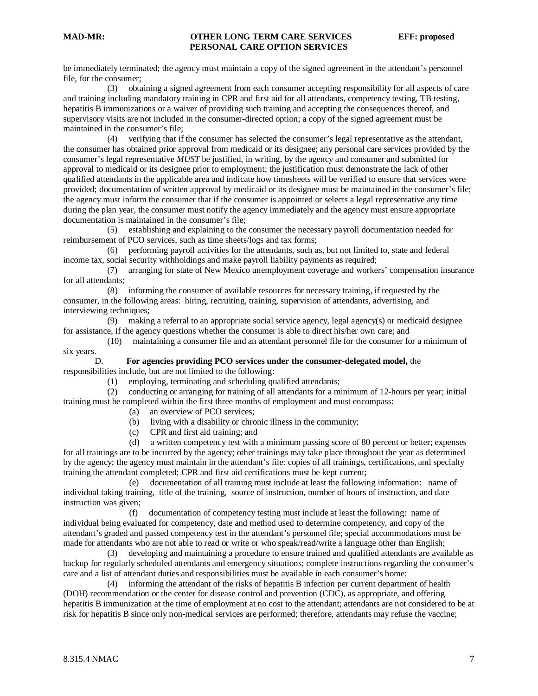be immediately terminated; the agency must maintain a copy of the signed agreement in the attendant's personnel file, for the consumer;

 (3) obtaining a signed agreement from each consumer accepting responsibility for all aspects of care and training including mandatory training in CPR and first aid for all attendants, competency testing, TB testing, hepatitis B immunizations or a waiver of providing such training and accepting the consequences thereof, and supervisory visits are not included in the consumer-directed option; a copy of the signed agreement must be maintained in the consumer's file;

 (4) verifying that if the consumer has selected the consumer's legal representative as the attendant, the consumer has obtained prior approval from medicaid or its designee; any personal care services provided by the consumer's legal representative *MUST* be justified, in writing, by the agency and consumer and submitted for approval to medicaid or its designee prior to employment; the justification must demonstrate the lack of other qualified attendants in the applicable area and indicate how timesheets will be verified to ensure that services were provided; documentation of written approval by medicaid or its designee must be maintained in the consumer's file; the agency must inform the consumer that if the consumer is appointed or selects a legal representative any time during the plan year, the consumer must notify the agency immediately and the agency must ensure appropriate documentation is maintained in the consumer's file;

 (5) establishing and explaining to the consumer the necessary payroll documentation needed for reimbursement of PCO services, such as time sheets/logs and tax forms;

 (6) performing payroll activities for the attendants, such as, but not limited to, state and federal income tax, social security withholdings and make payroll liability payments as required;

 (7) arranging for state of New Mexico unemployment coverage and workers' compensation insurance for all attendants;

 (8) informing the consumer of available resources for necessary training, if requested by the consumer, in the following areas: hiring, recruiting, training, supervision of attendants, advertising, and interviewing techniques;

 (9) making a referral to an appropriate social service agency, legal agency(s) or medicaid designee for assistance, if the agency questions whether the consumer is able to direct his/her own care; and

 (10) maintaining a consumer file and an attendant personnel file for the consumer for a minimum of six years.

#### D. **For agencies providing PCO services under the consumer-delegated model,** the responsibilities include, but are not limited to the following:

(1) employing, terminating and scheduling qualified attendants;

 (2) conducting or arranging for training of all attendants for a minimum of 12-hours per year; initial training must be completed within the first three months of employment and must encompass:

- (a) an overview of PCO services;
- (b) living with a disability or chronic illness in the community;
- (c) CPR and first aid training; and

 (d) a written competency test with a minimum passing score of 80 percent or better; expenses for all trainings are to be incurred by the agency; other trainings may take place throughout the year as determined by the agency; the agency must maintain in the attendant's file: copies of all trainings, certifications, and specialty training the attendant completed; CPR and first aid certifications must be kept current;

 (e) documentation of all training must include at least the following information: name of individual taking training, title of the training, source of instruction, number of hours of instruction, and date instruction was given;

 (f) documentation of competency testing must include at least the following: name of individual being evaluated for competency, date and method used to determine competency, and copy of the attendant's graded and passed competency test in the attendant's personnel file; special accommodations must be made for attendants who are not able to read or write or who speak/read/write a language other than English;

 (3) developing and maintaining a procedure to ensure trained and qualified attendants are available as backup for regularly scheduled attendants and emergency situations; complete instructions regarding the consumer's care and a list of attendant duties and responsibilities must be available in each consumer's home;

 (4) informing the attendant of the risks of hepatitis B infection per current department of health (DOH) recommendation or the center for disease control and prevention (CDC), as appropriate, and offering hepatitis B immunization at the time of employment at no cost to the attendant; attendants are not considered to be at risk for hepatitis B since only non-medical services are performed; therefore, attendants may refuse the vaccine;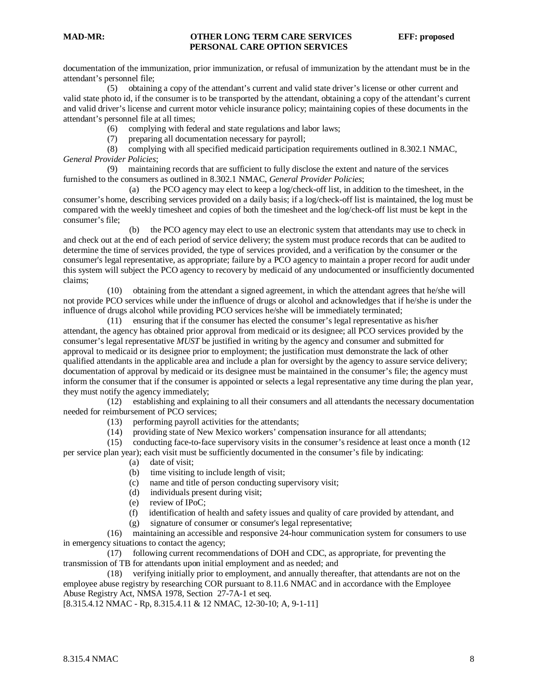documentation of the immunization, prior immunization, or refusal of immunization by the attendant must be in the attendant's personnel file;

 (5) obtaining a copy of the attendant's current and valid state driver's license or other current and valid state photo id, if the consumer is to be transported by the attendant, obtaining a copy of the attendant's current and valid driver's license and current motor vehicle insurance policy; maintaining copies of these documents in the attendant's personnel file at all times;

(6) complying with federal and state regulations and labor laws;

(7) preparing all documentation necessary for payroll;

 (8) complying with all specified medicaid participation requirements outlined in 8.302.1 NMAC, *General Provider Policies*;

 (9) maintaining records that are sufficient to fully disclose the extent and nature of the services furnished to the consumers as outlined in 8.302.1 NMAC, *General Provider Policies*;

 (a) the PCO agency may elect to keep a log/check-off list, in addition to the timesheet, in the consumer's home, describing services provided on a daily basis; if a log/check-off list is maintained, the log must be compared with the weekly timesheet and copies of both the timesheet and the log/check-off list must be kept in the consumer's file;

 (b) the PCO agency may elect to use an electronic system that attendants may use to check in and check out at the end of each period of service delivery; the system must produce records that can be audited to determine the time of services provided, the type of services provided, and a verification by the consumer or the consumer's legal representative, as appropriate; failure by a PCO agency to maintain a proper record for audit under this system will subject the PCO agency to recovery by medicaid of any undocumented or insufficiently documented claims;

 (10) obtaining from the attendant a signed agreement, in which the attendant agrees that he/she will not provide PCO services while under the influence of drugs or alcohol and acknowledges that if he/she is under the influence of drugs alcohol while providing PCO services he/she will be immediately terminated;

 (11) ensuring that if the consumer has elected the consumer's legal representative as his/her attendant, the agency has obtained prior approval from medicaid or its designee; all PCO services provided by the consumer's legal representative *MUST* be justified in writing by the agency and consumer and submitted for approval to medicaid or its designee prior to employment; the justification must demonstrate the lack of other qualified attendants in the applicable area and include a plan for oversight by the agency to assure service delivery; documentation of approval by medicaid or its designee must be maintained in the consumer's file; the agency must inform the consumer that if the consumer is appointed or selects a legal representative any time during the plan year, they must notify the agency immediately;

 (12) establishing and explaining to all their consumers and all attendants the necessary documentation needed for reimbursement of PCO services;

(13) performing payroll activities for the attendants;

(14) providing state of New Mexico workers' compensation insurance for all attendants;

(15) conducting face-to-face supervisory visits in the consumer's residence at least once a month (12

per service plan year); each visit must be sufficiently documented in the consumer's file by indicating:

- (a) date of visit;
- (b) time visiting to include length of visit;
- (c) name and title of person conducting supervisory visit;
- (d) individuals present during visit;
- (e) review of IPoC;
- (f) identification of health and safety issues and quality of care provided by attendant, and
- (g) signature of consumer or consumer's legal representative;

 (16) maintaining an accessible and responsive 24-hour communication system for consumers to use in emergency situations to contact the agency;

 (17) following current recommendations of DOH and CDC, as appropriate, for preventing the transmission of TB for attendants upon initial employment and as needed; and

 (18) verifying initially prior to employment, and annually thereafter, that attendants are not on the employee abuse registry by researching COR pursuant to 8.11.6 NMAC and in accordance with the Employee Abuse Registry Act, NMSA 1978, Section 27-7A-1 et seq.

[8.315.4.12 NMAC - Rp, 8.315.4.11 & 12 NMAC, 12-30-10; A, 9-1-11]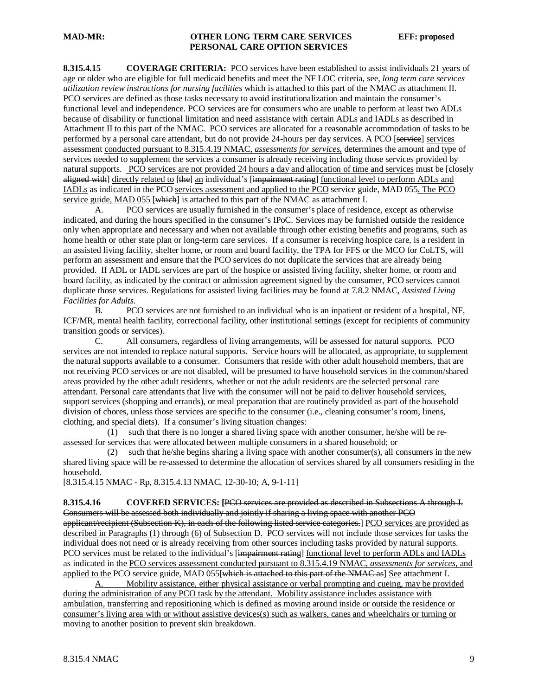**8.315.4.15 COVERAGE CRITERIA:** PCO services have been established to assist individuals 21 years of age or older who are eligible for full medicaid benefits and meet the NF LOC criteria, see, *long term care services utilization review instructions for nursing facilities* which is attached to this part of the NMAC as attachment II. PCO services are defined as those tasks necessary to avoid institutionalization and maintain the consumer's functional level and independence. PCO services are for consumers who are unable to perform at least two ADLs because of disability or functional limitation and need assistance with certain ADLs and IADLs as described in Attachment II to this part of the NMAC. PCO services are allocated for a reasonable accommodation of tasks to be performed by a personal care attendant, but do not provide 24-hours per day services. A PCO [service] services assessment conducted pursuant to 8.315.4.19 NMAC, *assessments for services*, determines the amount and type of services needed to supplement the services a consumer is already receiving including those services provided by natural supports. PCO services are not provided 24 hours a day and allocation of time and services must be [elesely aligned with] directly related to [the] an individual's [impairment rating] functional level to perform ADLs and IADLs as indicated in the PCO services assessment and applied to the PCO service guide, MAD 055. The PCO service guide, MAD 055 [which] is attached to this part of the NMAC as attachment I.

A. PCO services are usually furnished in the consumer's place of residence, except as otherwise indicated, and during the hours specified in the consumer's IPoC. Services may be furnished outside the residence only when appropriate and necessary and when not available through other existing benefits and programs, such as home health or other state plan or long-term care services. If a consumer is receiving hospice care, is a resident in an assisted living facility, shelter home, or room and board facility, the TPA for FFS or the MCO for CoLTS, will perform an assessment and ensure that the PCO services do not duplicate the services that are already being provided. If ADL or IADL services are part of the hospice or assisted living facility, shelter home, or room and board facility, as indicated by the contract or admission agreement signed by the consumer, PCO services cannot duplicate those services. Regulations for assisted living facilities may be found at 7.8.2 NMAC, *Assisted Living Facilities for Adults.*

B. PCO services are not furnished to an individual who is an inpatient or resident of a hospital, NF, ICF/MR, mental health facility, correctional facility, other institutional settings (except for recipients of community transition goods or services).

C. All consumers, regardless of living arrangements, will be assessed for natural supports. PCO services are not intended to replace natural supports. Service hours will be allocated, as appropriate, to supplement the natural supports available to a consumer. Consumers that reside with other adult household members, that are not receiving PCO services or are not disabled, will be presumed to have household services in the common/shared areas provided by the other adult residents, whether or not the adult residents are the selected personal care attendant. Personal care attendants that live with the consumer will not be paid to deliver household services, support services (shopping and errands), or meal preparation that are routinely provided as part of the household division of chores, unless those services are specific to the consumer (i.e., cleaning consumer's room, linens, clothing, and special diets). If a consumer's living situation changes:

 (1) such that there is no longer a shared living space with another consumer, he/she will be reassessed for services that were allocated between multiple consumers in a shared household; or

 (2) such that he/she begins sharing a living space with another consumer(s), all consumers in the new shared living space will be re-assessed to determine the allocation of services shared by all consumers residing in the household.

[8.315.4.15 NMAC - Rp, 8.315.4.13 NMAC, 12-30-10; A, 9-1-11]

**8.315.4.16 COVERED SERVICES: [**PCO services are provided as described in Subsections A through J. Consumers will be assessed both individually and jointly if sharing a living space with another PCO applicant/recipient (Subsection K), in each of the following listed service categories.] PCO services are provided as described in Paragraphs (1) through (6) of Subsection D. PCO services will not include those services for tasks the individual does not need or is already receiving from other sources including tasks provided by natural supports. PCO services must be related to the individual's [impairment rating] functional level to perform ADLs and IADLs as indicated in the PCO services assessment conducted pursuant to 8.315.4.19 NMAC, *assessments for services*, and applied to the PCO service guide, MAD 055[which is attached to this part of the NMAC as] See attachment I.

A. Mobility assistance, either physical assistance or verbal prompting and cueing, may be provided during the administration of any PCO task by the attendant. Mobility assistance includes assistance with ambulation, transferring and repositioning which is defined as moving around inside or outside the residence or consumer's living area with or without assistive devices(s) such as walkers, canes and wheelchairs or turning or moving to another position to prevent skin breakdown.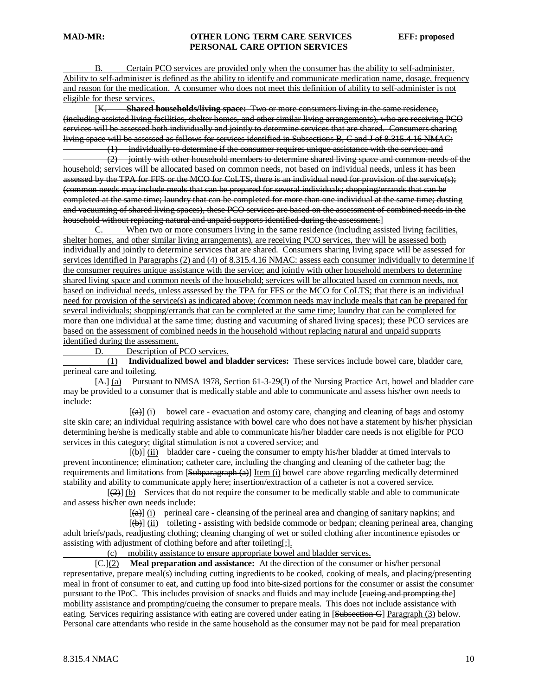B. Certain PCO services are provided only when the consumer has the ability to self-administer. Ability to self-administer is defined as the ability to identify and communicate medication name, dosage, frequency and reason for the medication. A consumer who does not meet this definition of ability to self-administer is not eligible for these services.

 $K$ **Shared households/living space:** Two or more consumers living in the same residence. (including assisted living facilities, shelter homes, and other similar living arrangements), who are receiving PCO services will be assessed both individually and jointly to determine services that are shared. Consumers sharing living space will be assessed as follows for services identified in Subsections B, C and J of 8.315.4.16 NMAC:

 (1) individually to determine if the consumer requires unique assistance with the service; and (2) jointly with other household members to determine shared living space and common needs of the household; services will be allocated based on common needs, not based on individual needs, unless it has been assessed by the TPA for FFS or the MCO for CoLTS, there is an individual need for provision of the service(s); (common needs may include meals that can be prepared for several individuals; shopping/errands that can be completed at the same time; laundry that can be completed for more than one individual at the same time; dusting and vacuuming of shared living spaces), these PCO services are based on the assessment of combined needs in the household without replacing natural and unpaid supports identified during the assessment.]

C. When two or more consumers living in the same residence (including assisted living facilities, shelter homes, and other similar living arrangements), are receiving PCO services, they will be assessed both individually and jointly to determine services that are shared. Consumers sharing living space will be assessed for services identified in Paragraphs (2) and (4) of 8.315.4.16 NMAC: assess each consumer individually to determine if the consumer requires unique assistance with the service; and jointly with other household members to determine shared living space and common needs of the household; services will be allocated based on common needs, not based on individual needs, unless assessed by the TPA for FFS or the MCO for CoLTS; that there is an individual need for provision of the service(s) as indicated above; (common needs may include meals that can be prepared for several individuals; shopping/errands that can be completed at the same time; laundry that can be completed for more than one individual at the same time; dusting and vacuuming of shared living spaces); these PCO services are based on the assessment of combined needs in the household without replacing natural and unpaid supports identified during the assessment.

D. Description of PCO services.

 $(1)$  **Individualized bowel and bladder services:** These services include bowel care, bladder care, perineal care and toileting.

[A<sub>7</sub>] (a) Pursuant to NMSA 1978, Section 61-3-29(J) of the Nursing Practice Act, bowel and bladder care may be provided to a consumer that is medically stable and able to communicate and assess his/her own needs to include:

[*[*]  $\left(\frac{a}{b}\right)$  (i) bowel care - evacuation and ostomy care, changing and cleaning of bags and ostomy site skin care; an individual requiring assistance with bowel care who does not have a statement by his/her physician determining he/she is medically stable and able to communicate his/her bladder care needs is not eligible for PCO services in this category; digital stimulation is not a covered service; and

[*[*]  $[\phi]$  (ii) bladder care - cueing the consumer to empty his/her bladder at timed intervals to prevent incontinence; elimination; catheter care, including the changing and cleaning of the catheter bag; the requirements and limitations from [Subparagraph (a)] Item (i) bowel care above regarding medically determined stability and ability to communicate apply here; insertion/extraction of a catheter is not a covered service.

 $\overline{a}$  $\left(\frac{2}{2}\right)$  (b) Services that do not require the consumer to be medically stable and able to communicate and assess his/her own needs include:

[*[*]  $(a)$ ] (i) perineal care - cleansing of the perineal area and changing of sanitary napkins; and

[*[*]  $\overline{f(\theta)}$  (ii) toileting - assisting with bedside commode or bedpan; cleaning perineal area, changing adult briefs/pads, readjusting clothing; cleaning changing of wet or soiled clothing after incontinence episodes or assisting with adjustment of clothing before and after toileting[;].

(c) mobility assistance to ensure appropriate bowel and bladder services.

 $[G:](2)$ **Meal preparation and assistance:** At the direction of the consumer or his/her personal representative, prepare meal(s) including cutting ingredients to be cooked, cooking of meals, and placing/presenting meal in front of consumer to eat, and cutting up food into bite-sized portions for the consumer or assist the consumer pursuant to the IPoC. This includes provision of snacks and fluids and may include [eueing and prompting the] mobility assistance and prompting/cueing the consumer to prepare meals. This does not include assistance with eating. Services requiring assistance with eating are covered under eating in [Subsection G] Paragraph (3) below. Personal care attendants who reside in the same household as the consumer may not be paid for meal preparation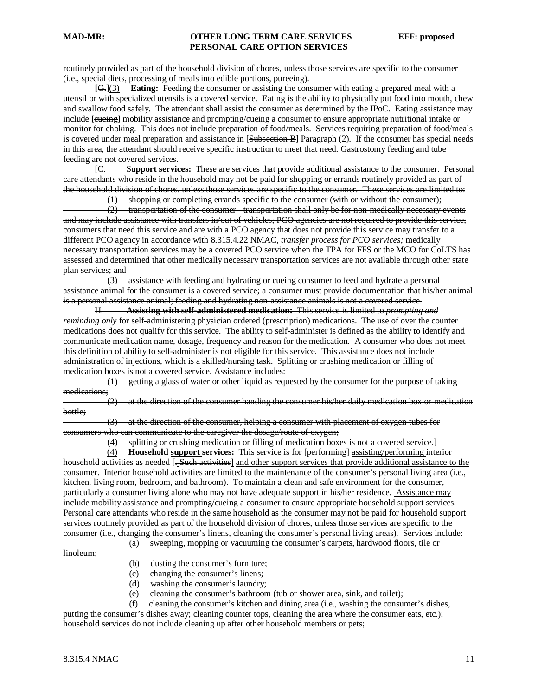routinely provided as part of the household division of chores, unless those services are specific to the consumer (i.e., special diets, processing of meals into edible portions, pureeing).

**[**G.](3) **Eating:** Feeding the consumer or assisting the consumer with eating a prepared meal with a utensil or with specialized utensils is a covered service. Eating is the ability to physically put food into mouth, chew and swallow food safely. The attendant shall assist the consumer as determined by the IPoC. Eating assistance may include [eueing] mobility assistance and prompting/cueing a consumer to ensure appropriate nutritional intake or monitor for choking. This does not include preparation of food/meals. Services requiring preparation of food/meals is covered under meal preparation and assistance in [Subsection B] Paragraph (2). If the consumer has special needs in this area, the attendant should receive specific instruction to meet that need. Gastrostomy feeding and tube feeding are not covered services.

 $IC.$ C. Su**pport services:** These are services that provide additional assistance to the consumer. Personal care attendants who reside in the household may not be paid for shopping or errands routinely provided as part of the household division of chores, unless those services are specific to the consumer. These services are limited to: (1) shopping or completing errands specific to the consumer (with or without the consumer);

 (2) transportation of the consumer - transportation shall only be for non-medically necessary events and may include assistance with transfers in/out of vehicles; PCO agencies are not required to provide this service; consumers that need this service and are with a PCO agency that does not provide this service may transfer to a different PCO agency in accordance with 8.315.4.22 NMAC, *transfer process for PCO services;* medically necessary transportation services may be a covered PCO service when the TPA for FFS or the MCO for CoLTS has assessed and determined that other medically necessary transportation services are not available through other state plan services; and

 (3) assistance with feeding and hydrating or cueing consumer to feed and hydrate a personal assistance animal for the consumer is a covered service; a consumer must provide documentation that his/her animal is a personal assistance animal; feeding and hydrating non-assistance animals is not a covered service.

H. **Assisting with self-administered medication:** This service is limited to *prompting and reminding only* for self-administering physician ordered (prescription) medications. The use of over the counter medications does not qualify for this service. The ability to self-administer is defined as the ability to identify and communicate medication name, dosage, frequency and reason for the medication. A consumer who does not meet this definition of ability to self-administer is not eligible for this service. This assistance does not include administration of injections, which is a skilled/nursing task. Splitting or crushing medication or filling of medication boxes is not a covered service. Assistance includes:

 (1) getting a glass of water or other liquid as requested by the consumer for the purpose of taking medications;

 (2) at the direction of the consumer handing the consumer his/her daily medication box or medication bottle;

 (3) at the direction of the consumer, helping a consumer with placement of oxygen tubes for consumers who can communicate to the caregiver the dosage/route of oxygen;

(4) splitting or crushing medication or filling of medication boxes is not a covered service. ]

(4) **Household support services:** This service is for [performing] assisting/performing interior household activities as needed [. Such activities] and other support services that provide additional assistance to the consumer. Interior household activities are limited to the maintenance of the consumer's personal living area (i.e., kitchen, living room, bedroom, and bathroom). To maintain a clean and safe environment for the consumer, particularly a consumer living alone who may not have adequate support in his/her residence. Assistance may include mobility assistance and prompting/cueing a consumer to ensure appropriate household support services. Personal care attendants who reside in the same household as the consumer may not be paid for household support services routinely provided as part of the household division of chores, unless those services are specific to the consumer (i.e., changing the consumer's linens, cleaning the consumer's personal living areas). Services include:

(a) sweeping, mopping or vacuuming the consumer's carpets, hardwood floors, tile or

linoleum;

- (b) dusting the consumer's furniture;
- (c) changing the consumer's linens;
- (d) washing the consumer's laundry;
- (e) cleaning the consumer's bathroom (tub or shower area, sink, and toilet);

(f) cleaning the consumer's kitchen and dining area (i.e., washing the consumer's dishes,

putting the consumer's dishes away; cleaning counter tops, cleaning the area where the consumer eats, etc.); household services do not include cleaning up after other household members or pets;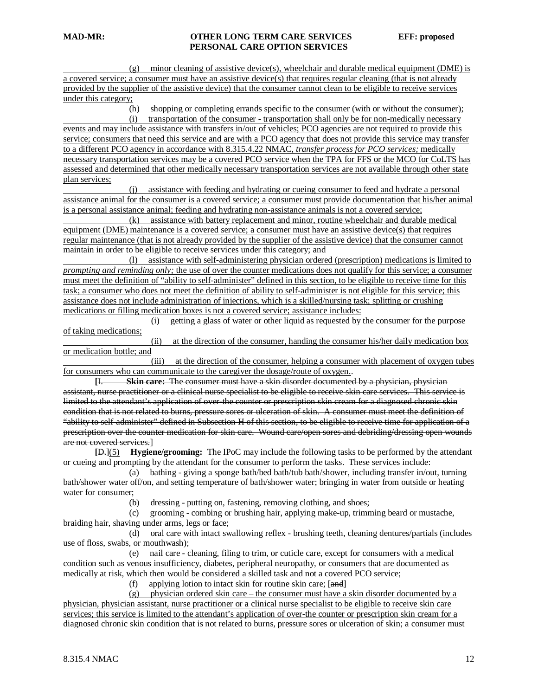(g) minor cleaning of assistive device(s), wheelchair and durable medical equipment (DME) is a covered service; a consumer must have an assistive device(s) that requires regular cleaning (that is not already provided by the supplier of the assistive device) that the consumer cannot clean to be eligible to receive services under this category;

 (h) shopping or completing errands specific to the consumer (with or without the consumer); (i) transportation of the consumer - transportation shall only be for non-medically necessary events and may include assistance with transfers in/out of vehicles; PCO agencies are not required to provide this service; consumers that need this service and are with a PCO agency that does not provide this service may transfer to a different PCO agency in accordance with 8.315.4.22 NMAC, *transfer process for PCO services;* medically necessary transportation services may be a covered PCO service when the TPA for FFS or the MCO for CoLTS has assessed and determined that other medically necessary transportation services are not available through other state plan services;

 (j) assistance with feeding and hydrating or cueing consumer to feed and hydrate a personal assistance animal for the consumer is a covered service; a consumer must provide documentation that his/her animal is a personal assistance animal; feeding and hydrating non-assistance animals is not a covered service;

 (k) assistance with battery replacement and minor, routine wheelchair and durable medical equipment (DME) maintenance is a covered service; a consumer must have an assistive device(s) that requires regular maintenance (that is not already provided by the supplier of the assistive device) that the consumer cannot maintain in order to be eligible to receive services under this category; and

 (l) assistance with self-administering physician ordered (prescription) medications is limited to *prompting and reminding only;* the use of over the counter medications does not qualify for this service; a consumer must meet the definition of "ability to self-administer" defined in this section, to be eligible to receive time for this task; a consumer who does not meet the definition of ability to self-administer is not eligible for this service; this assistance does not include administration of injections, which is a skilled/nursing task; splitting or crushing medications or filling medication boxes is not a covered service; assistance includes:

 (i) getting a glass of water or other liquid as requested by the consumer for the purpose of taking medications;

 (ii) at the direction of the consumer, handing the consumer his/her daily medication box or medication bottle; and

 (iii) at the direction of the consumer, helping a consumer with placement of oxygen tubes for consumers who can communicate to the caregiver the dosage/route of oxygen. .

**[ Skin care:** The consumer must have a skin disorder documented by a physician, physician assistant, nurse practitioner or a clinical nurse specialist to be eligible to receive skin care services. This service is limited to the attendant's application of over-the counter or prescription skin cream for a diagnosed chronic skin condition that is not related to burns, pressure sores or ulceration of skin. A consumer must meet the definition of "ability to self-administer" defined in Subsection H of this section, to be eligible to receive time for application of a prescription over the counter medication for skin care. Wound care/open sores and debriding/dressing open wounds are not covered services. ]

**[** D.](5) **Hygiene/grooming:** The IPoC may include the following tasks to be performed by the attendant or cueing and prompting by the attendant for the consumer to perform the tasks. These services include:

 (a) bathing - giving a sponge bath/bed bath/tub bath/shower, including transfer in/out, turning bath/shower water off/on, and setting temperature of bath/shower water; bringing in water from outside or heating water for consumer;

(b) dressing - putting on, fastening, removing clothing, and shoes;

 (c) grooming - combing or brushing hair, applying make-up, trimming beard or mustache, braiding hair, shaving under arms, legs or face;

 (d) oral care with intact swallowing reflex - brushing teeth, cleaning dentures/partials (includes use of floss, swabs, or mouthwash);

 (e) nail care - cleaning, filing to trim, or cuticle care, except for consumers with a medical condition such as venous insufficiency, diabetes, peripheral neuropathy, or consumers that are documented as medically at risk, which then would be considered a skilled task and not a covered PCO service;

(f) applying lotion to intact skin for routine skin care; [and]

(g) physician ordered skin care – the consumer must have a skin disorder documented by a physician, physician assistant, nurse practitioner or a clinical nurse specialist to be eligible to receive skin care services; this service is limited to the attendant's application of over-the counter or prescription skin cream for a diagnosed chronic skin condition that is not related to burns, pressure sores or ulceration of skin; a consumer must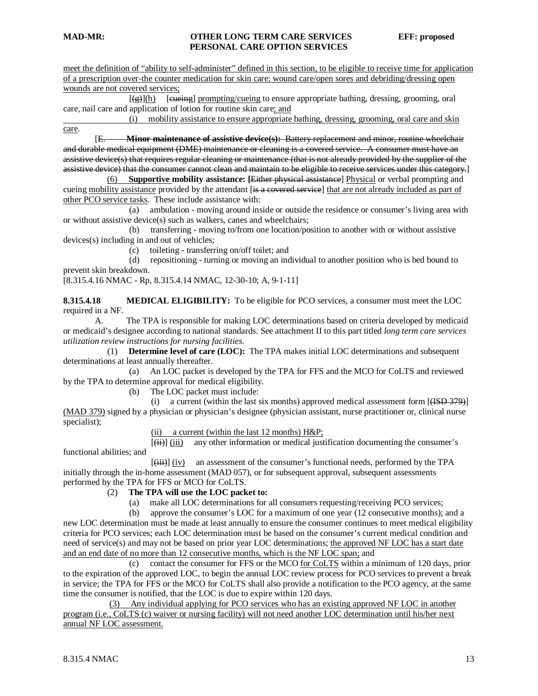meet the definition of "ability to self-administer" defined in this section, to be eligible to receive time for application of a prescription over-the counter medication for skin care; wound care/open sores and debriding/dressing open wounds are not covered services;

 $[(\frac{\alpha}{g})](h)$  [eueing] prompting/cueing to ensure appropriate bathing, dressing, grooming, oral care, nail care and application of lotion for routine skin care; and

 (i) mobility assistance to ensure appropriate bathing, dressing, grooming, oral care and skin care .

[E. E. **Minor maintenance of assistive device(s):** Battery replacement and minor, routine wheelchair and durable medical equipment (DME) maintenance or cleaning is a covered service. A consumer must have an assistive device(s) that requires regular cleaning or maintenance (that is not already provided by the supplier of the assistive device) that the consumer cannot clean and maintain to be eligible to receive services under this category. ]

(6) **Supportive mobility assistance: [**Either physical assistance] Physical or verbal prompting and cueing mobility assistance provided by the attendant [is a covered service] that are not already included as part of other PCO service tasks . These include assistance with:

 (a) ambulation - moving around inside or outside the residence or consumer's living area with or without assistive device(s) such as walkers, canes and wheelchairs;

 (b) transferring - moving to/from one location/position to another with or without assistive devices(s) including in and out of vehicles;

(c) toileting - transferring on/off toilet; and

 (d) repositioning - turning or moving an individual to another position who is bed bound to prevent skin breakdown.

[8.315.4.16 NMAC - Rp, 8.315.4.14 NMAC, 12-30-10; A, 9-1-11]

**8.315.4.18 MEDICAL ELIGIBILITY:** To be eligible for PCO services, a consumer must meet the LOC required in a NF.

A. The TPA is responsible for making LOC determinations based on criteria developed by medicaid or medicaid's designee according to national standards. See attachment II to this part titled *long term care services utilization review instructions for nursing facilities*.

 (1) **Determine level of care (LOC):** The TPA makes initial LOC determinations and subsequent determinations at least annually thereafter.

 (a) An LOC packet is developed by the TPA for FFS and the MCO for CoLTS and reviewed by the TPA to determine approval for medical eligibility.

(b) The LOC packet must include:

(i) a current (within the last six months) approved medical assessment form  $[{\text{HSD 379}}]$ (MAD 379) signed by a physician or physician's designee (physician assistant, nurse practitioner or, clinical nurse specialist);

(ii) a current (within the last 12 months) H&P;

 $[\overleftrightarrow{\mathbf{(ii)}}\overrightarrow{\mathbf{(iii)}}$  any other information or medical justification documenting the consumer's functional abilities; and

 $\mathcal{L}$  (and the set of  $\mathcal{L}$  ) and  $\mathcal{L}$ (iii) (iv) an assessment of the consumer's functional needs, performed by the TPA initially through the in-home assessment (MAD 057), or for subsequent approval, subsequent assessments performed by the TPA for FFS or MCO for CoLTS.

#### (2) **The TPA will use the LOC packet to:**

(a) make all LOC determinations for all consumers requesting/receiving PCO services;

 (b) approve the consumer's LOC for a maximum of one year (12 consecutive months); and a new LOC determination must be made at least annually to ensure the consumer continues to meet medical eligibility criteria for PCO services; each LOC determination must be based on the consumer's current medical condition and need of service(s) and may not be based on prior year LOC determinations; the approved NF LOC has a start date and an end date of no more than 12 consecutive months, which is the NF LOC span; and

(c) contact the consumer for FFS or the MCO  $for ColTS$  within a minimum of 120 days, prior</u> to the expiration of the approved LOC, to begin the annual LOC review process for PCO services to prevent a break in service; the TPA for FFS or the MCO for CoLTS shall also provide a notification to the PCO agency, at the same time the consumer is notified, that the LOC is due to expire within 120 days.

(3) Any individual applying for PCO services who has an existing approved NF LOC in another program (i.e., CoLTS (c) waiver or nursing facility) will not need another LOC determination until his/her next annual NF LOC assessment.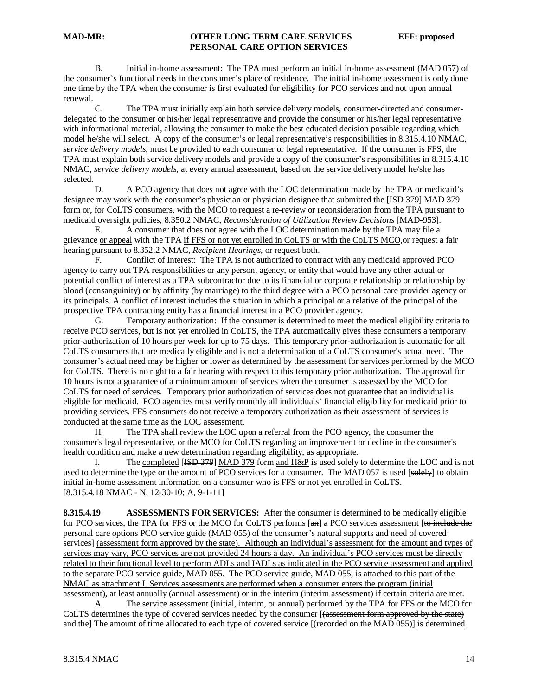B. Initial in-home assessment: The TPA must perform an initial in-home assessment (MAD 057) of the consumer's functional needs in the consumer's place of residence. The initial in-home assessment is only done one time by the TPA when the consumer is first evaluated for eligibility for PCO services and not upon annual renewal.

The TPA must initially explain both service delivery models, consumer-directed and consumerdelegated to the consumer or his/her legal representative and provide the consumer or his/her legal representative with informational material, allowing the consumer to make the best educated decision possible regarding which model he/she will select. A copy of the consumer's or legal representative's responsibilities in 8.315.4.10 NMAC, *service delivery models,* must be provided to each consumer or legal representative. If the consumer is FFS, the TPA must explain both service delivery models and provide a copy of the consumer's responsibilities in 8.315.4.10 NMAC, *service delivery models*, at every annual assessment, based on the service delivery model he/she has selected.

D. A PCO agency that does not agree with the LOC determination made by the TPA or medicaid's designee may work with the consumer's physician or physician designee that submitted the [ISD 379] MAD 379 form or, for CoLTS consumers, with the MCO to request a re-review or reconsideration from the TPA pursuant to medicaid oversight policies, 8.350.2 NMAC, *Reconsideration of Utilization Review Decisions* [MAD-953].

E. A consumer that does not agree with the LOC determination made by the TPA may file a grievance or appeal with the TPA if FFS or not yet enrolled in CoLTS or with the CoLTS MCO, or request a fair hearing pursuant to 8.352.2 NMAC, *Recipient Hearings,* or request both.

F. Conflict of Interest: The TPA is not authorized to contract with any medicaid approved PCO agency to carry out TPA responsibilities or any person, agency, or entity that would have any other actual or potential conflict of interest as a TPA subcontractor due to its financial or corporate relationship or relationship by blood (consanguinity) or by affinity (by marriage) to the third degree with a PCO personal care provider agency or its principals. A conflict of interest includes the situation in which a principal or a relative of the principal of the prospective TPA contracting entity has a financial interest in a PCO provider agency.

G. Temporary authorization: If the consumer is determined to meet the medical eligibility criteria to receive PCO services, but is not yet enrolled in CoLTS, the TPA automatically gives these consumers a temporary prior-authorization of 10 hours per week for up to 75 days. This temporary prior-authorization is automatic for all CoLTS consumers that are medically eligible and is not a determination of a CoLTS consumer's actual need. The consumer's actual need may be higher or lower as determined by the assessment for services performed by the MCO for CoLTS. There is no right to a fair hearing with respect to this temporary prior authorization. The approval for 10 hours is not a guarantee of a minimum amount of services when the consumer is assessed by the MCO for CoLTS for need of services. Temporary prior authorization of services does not guarantee that an individual is eligible for medicaid. PCO agencies must verify monthly all individuals' financial eligibility for medicaid prior to providing services. FFS consumers do not receive a temporary authorization as their assessment of services is conducted at the same time as the LOC assessment.

H. The TPA shall review the LOC upon a referral from the PCO agency, the consumer the consumer's legal representative, or the MCO for CoLTS regarding an improvement or decline in the consumer's health condition and make a new determination regarding eligibility, as appropriate.

I. The completed [ISD 379] MAD 379 form and H&P is used solely to determine the LOC and is not used to determine the type or the amount of PCO services for a consumer. The MAD 057 is used [solely] to obtain [8.315.4.18 NMAC - N, 12-30-10; A, 9-1-11] initial in-home assessment information on a consumer who is FFS or not yet enrolled in CoLTS.

**8.315.4.19 ASSESSMENTS FOR SERVICES:** After the consumer is determined to be medically eligible for PCO services, the TPA for FFS or the MCO for CoLTS performs [an] a PCO services assessment [to include the personal care options PCO service guide (MAD 055) of the consumer's natural supports and need of covered services] (assessment form approved by the state). Although an individual's assessment for the amount and types of services may vary, PCO services are not provided 24 hours a day. An individual's PCO services must be directly related to their functional level to perform ADLs and IADLs as indicated in the PCO service assessment and applied to the separate PCO service guide, MAD 055. The PCO service guide, MAD 055, is attached to this part of the NMAC as attachment I. Services assessments are performed when a consumer enters the program (initial assessment), at least annually (annual assessment) or in the interim (interim assessment) if certain criteria are met.

A. The service assessment (initial, interim, or annual) performed by the TPA for FFS or the MCO for CoLTS determines the type of covered services needed by the consumer [(assessment form approved by the state) and the The amount of time allocated to each type of covered service [<del>(recorded on the MAD 055)</del>] is determined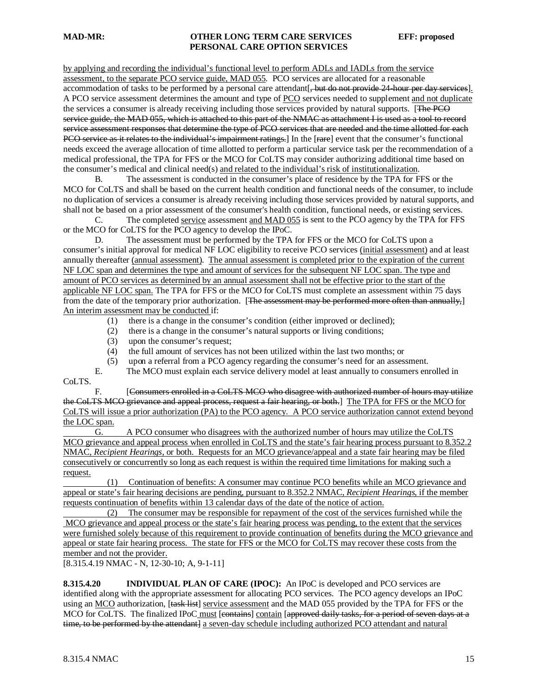by applying and recording the individual's functional level to perform ADLs and IADLs from the service assessment, to the separate PCO service guide, MAD 055. PCO services are allocated for a reasonable accommodation of tasks to be performed by a personal care attendant. but do not provide 24 hour per day services. A PCO service assessment determines the amount and type of PCO services needed to supplement and not duplicate the services a consumer is already receiving including those services provided by natural supports. [The PCO] service guide, the MAD 055, which is attached to this part of the NMAC as attachment I is used as a tool to record service assessment responses that determine the type of PCO services that are needed and the time allotted for each PCO service as it relates to the individual's impairment ratings.] In the [rare] event that the consumer's functional needs exceed the average allocation of time allotted to perform a particular service task per the recommendation of a medical professional, the TPA for FFS or the MCO for CoLTS may consider authorizing additional time based on the consumer's medical and clinical need(s) and related to the individual's risk of institutionalization.

B. The assessment is conducted in the consumer's place of residence by the TPA for FFS or the MCO for CoLTS and shall be based on the current health condition and functional needs of the consumer, to include no duplication of services a consumer is already receiving including those services provided by natural supports, and shall not be based on a prior assessment of the consumer's health condition, functional needs, or existing services.

C. The completed service assessment and MAD 055 is sent to the PCO agency by the TPA for FFS or the MCO for CoLTS for the PCO agency to develop the IPoC.

D. The assessment must be performed by the TPA for FFS or the MCO for CoLTS upon a consumer's initial approval for medical NF LOC eligibility to receive PCO services (initial assessment) and at least annually thereafter (annual assessment). The annual assessment is completed prior to the expiration of the current NF LOC span and determines the type and amount of services for the subsequent NF LOC span. The type and amount of PCO services as determined by an annual assessment shall not be effective prior to the start of the applicable NF LOC span. The TPA for FFS or the MCO for CoLTS must complete an assessment within 75 days from the date of the temporary prior authorization. [The assessment may be performed more often than annually,] An interim assessment may be conducted if:

- (1) there is a change in the consumer's condition (either improved or declined);
- (2) there is a change in the consumer's natural supports or living conditions;
- (3) upon the consumer's request;
- (4) the full amount of services has not been utilized within the last two months; or
- (5) upon a referral from a PCO agency regarding the consumer's need for an assessment.

E. The MCO must explain each service delivery model at least annually to consumers enrolled in CoLTS.

F. [Consumers enrolled in a CoLTS MCO who disagree with authorized number of hours may utilize the CoLTS MCO grievance and appeal process, request a fair hearing, or both.] The TPA for FFS or the MCO for CoLTS will issue a prior authorization (PA) to the PCO agency. A PCO service authorization cannot extend beyond the LOC span.

G. A PCO consumer who disagrees with the authorized number of hours may utilize the CoLTS MCO grievance and appeal process when enrolled in CoLTS and the state's fair hearing process pursuant to 8.352.2 NMAC, *Recipient Hearings*, or both. Requests for an MCO grievance/appeal and a state fair hearing may be filed consecutively or concurrently so long as each request is within the required time limitations for making such a request.

 (1) Continuation of benefits: A consumer may continue PCO benefits while an MCO grievance and appeal or state's fair hearing decisions are pending, pursuant to 8.352.2 NMAC, *Recipient Hearings,* if the member requests continuation of benefits within 13 calendar days of the date of the notice of action.

 (2) The consumer may be responsible for repayment of the cost of the services furnished while the MCO grievance and appeal process or the state's fair hearing process was pending, to the extent that the services were furnished solely because of this requirement to provide continuation of benefits during the MCO grievance and appeal or state fair hearing process. The state for FFS or the MCO for CoLTS may recover these costs from the member and not the provider.

[8.315.4.19 NMAC - N, 12-30-10; A, 9-1-11]

**8.315.4.20 INDIVIDUAL PLAN OF CARE (IPOC):** An IPoC is developed and PCO services are identified along with the appropriate assessment for allocating PCO services. The PCO agency develops an IPoC using an MCO authorization, [task list] service assessment and the MAD 055 provided by the TPA for FFS or the MCO for CoLTS. The finalized IPoC must [contains] contain [approved daily tasks, for a period of seven days at a time, to be performed by the attendant] a seven-day schedule including authorized PCO attendant and natural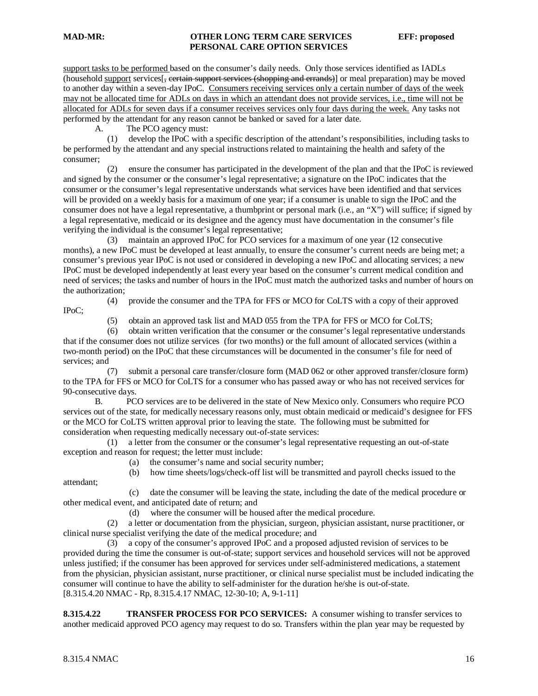IPoC;

attendant;

#### **MAD-MR: OTHER LONG TERM CARE SERVICES EFF: proposed PERSONAL CARE OPTION SERVICES**

support tasks to be performed based on the consumer's daily needs. Only those services identified as IADLs (household support services[, certain support services (shopping and errands)] or meal preparation) may be moved to another day within a seven-day IPoC. Consumers receiving services only a certain number of days of the week may not be allocated time for ADLs on days in which an attendant does not provide services, i.e., time will not be allocated for ADLs for seven days if a consumer receives services only four days during the week. Any tasks not performed by the attendant for any reason cannot be banked or saved for a later date.

A. The PCO agency must:

 (1) develop the IPoC with a specific description of the attendant's responsibilities, including tasks to be performed by the attendant and any special instructions related to maintaining the health and safety of the consumer;

 (2) ensure the consumer has participated in the development of the plan and that the IPoC is reviewed and signed by the consumer or the consumer's legal representative; a signature on the IPoC indicates that the consumer or the consumer's legal representative understands what services have been identified and that services will be provided on a weekly basis for a maximum of one year; if a consumer is unable to sign the IPoC and the consumer does not have a legal representative, a thumbprint or personal mark (i.e., an "X") will suffice; if signed by a legal representative, medicaid or its designee and the agency must have documentation in the consumer's file verifying the individual is the consumer's legal representative;

 (3) maintain an approved IPoC for PCO services for a maximum of one year (12 consecutive months), a new IPoC must be developed at least annually, to ensure the consumer's current needs are being met; a consumer's previous year IPoC is not used or considered in developing a new IPoC and allocating services; a new IPoC must be developed independently at least every year based on the consumer's current medical condition and need of services; the tasks and number of hours in the IPoC must match the authorized tasks and number of hours on the authorization;

(4) provide the consumer and the TPA for FFS or MCO for CoLTS with a copy of their approved

(5) obtain an approved task list and MAD 055 from the TPA for FFS or MCO for CoLTS;

 (6) obtain written verification that the consumer or the consumer's legal representative understands that if the consumer does not utilize services (for two months) or the full amount of allocated services (within a two-month period) on the IPoC that these circumstances will be documented in the consumer's file for need of services; and

 (7) submit a personal care transfer/closure form (MAD 062 or other approved transfer/closure form) to the TPA for FFS or MCO for CoLTS for a consumer who has passed away or who has not received services for 90-consecutive days.

B. PCO services are to be delivered in the state of New Mexico only. Consumers who require PCO services out of the state, for medically necessary reasons only, must obtain medicaid or medicaid's designee for FFS or the MCO for CoLTS written approval prior to leaving the state. The following must be submitted for consideration when requesting medically necessary out-of-state services:

 (1) a letter from the consumer or the consumer's legal representative requesting an out-of-state exception and reason for request; the letter must include:

(a) the consumer's name and social security number;

(b) how time sheets/logs/check-off list will be transmitted and payroll checks issued to the

 (c) date the consumer will be leaving the state, including the date of the medical procedure or other medical event, and anticipated date of return; and

(d) where the consumer will be housed after the medical procedure.

 (2) a letter or documentation from the physician, surgeon, physician assistant, nurse practitioner, or clinical nurse specialist verifying the date of the medical procedure; and

 (3) a copy of the consumer's approved IPoC and a proposed adjusted revision of services to be provided during the time the consumer is out-of-state; support services and household services will not be approved unless justified; if the consumer has been approved for services under self-administered medications, a statement from the physician, physician assistant, nurse practitioner, or clinical nurse specialist must be included indicating the consumer will continue to have the ability to self-administer for the duration he/she is out-of-state. [8.315.4.20 NMAC - Rp, 8.315.4.17 NMAC, 12-30-10; A, 9-1-11]

**8.315.4.22 TRANSFER PROCESS FOR PCO SERVICES:** A consumer wishing to transfer services to another medicaid approved PCO agency may request to do so. Transfers within the plan year may be requested by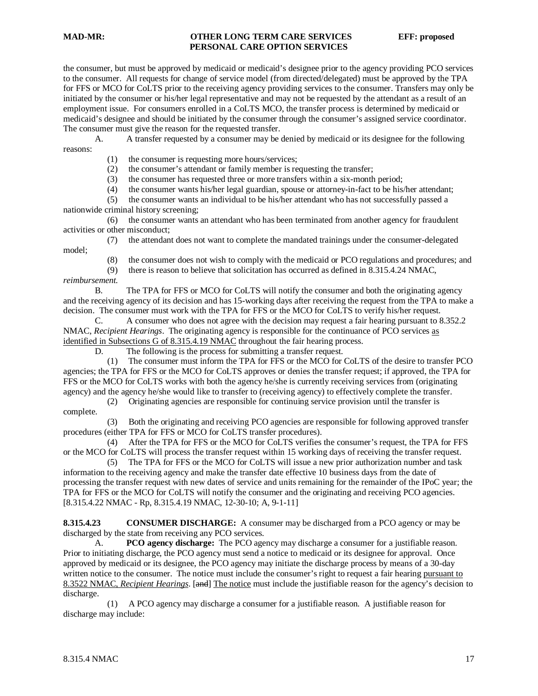the consumer, but must be approved by medicaid or medicaid's designee prior to the agency providing PCO services to the consumer. All requests for change of service model (from directed/delegated) must be approved by the TPA for FFS or MCO for CoLTS prior to the receiving agency providing services to the consumer. Transfers may only be initiated by the consumer or his/her legal representative and may not be requested by the attendant as a result of an employment issue. For consumers enrolled in a CoLTS MCO, the transfer process is determined by medicaid or medicaid's designee and should be initiated by the consumer through the consumer's assigned service coordinator. The consumer must give the reason for the requested transfer.

A. A transfer requested by a consumer may be denied by medicaid or its designee for the following reasons:

(1) the consumer is requesting more hours/services;

(2) the consumer's attendant or family member is requesting the transfer;

(3) the consumer has requested three or more transfers within a six-month period;

(4) the consumer wants his/her legal guardian, spouse or attorney-in-fact to be his/her attendant;

 (5) the consumer wants an individual to be his/her attendant who has not successfully passed a nationwide criminal history screening;

 (6) the consumer wants an attendant who has been terminated from another agency for fraudulent activities or other misconduct;

 (7) the attendant does not want to complete the mandated trainings under the consumer-delegated model;

(8) the consumer does not wish to comply with the medicaid or PCO regulations and procedures; and there is reason to believe that solicitation has occurred as defined in  $8.315.4.24 \text{ NMAC}$ .

there is reason to believe that solicitation has occurred as defined in 8.315.4.24 NMAC, *reimbursement.*

B. The TPA for FFS or MCO for CoLTS will notify the consumer and both the originating agency and the receiving agency of its decision and has 15-working days after receiving the request from the TPA to make a decision. The consumer must work with the TPA for FFS or the MCO for CoLTS to verify his/her request.

C. A consumer who does not agree with the decision may request a fair hearing pursuant to 8.352.2 NMAC, *Recipient Hearings*. The originating agency is responsible for the continuance of PCO services as identified in Subsections G of 8.315.4.19 NMAC throughout the fair hearing process.

D. The following is the process for submitting a transfer request.

 (1) The consumer must inform the TPA for FFS or the MCO for CoLTS of the desire to transfer PCO agencies; the TPA for FFS or the MCO for CoLTS approves or denies the transfer request; if approved, the TPA for FFS or the MCO for CoLTS works with both the agency he/she is currently receiving services from (originating agency) and the agency he/she would like to transfer to (receiving agency) to effectively complete the transfer.

 (2) Originating agencies are responsible for continuing service provision until the transfer is complete.

 (3) Both the originating and receiving PCO agencies are responsible for following approved transfer procedures (either TPA for FFS or MCO for CoLTS transfer procedures).

 (4) After the TPA for FFS or the MCO for CoLTS verifies the consumer's request, the TPA for FFS or the MCO for CoLTS will process the transfer request within 15 working days of receiving the transfer request.

 (5) The TPA for FFS or the MCO for CoLTS will issue a new prior authorization number and task information to the receiving agency and make the transfer date effective 10 business days from the date of processing the transfer request with new dates of service and units remaining for the remainder of the IPoC year; the TPA for FFS or the MCO for CoLTS will notify the consumer and the originating and receiving PCO agencies. [8.315.4.22 NMAC - Rp, 8.315.4.19 NMAC, 12-30-10; A, 9-1-11]

**8.315.4.23 CONSUMER DISCHARGE:** A consumer may be discharged from a PCO agency or may be discharged by the state from receiving any PCO services.

A. **PCO agency discharge:** The PCO agency may discharge a consumer for a justifiable reason. Prior to initiating discharge, the PCO agency must send a notice to medicaid or its designee for approval. Once approved by medicaid or its designee, the PCO agency may initiate the discharge process by means of a 30-day written notice to the consumer. The notice must include the consumer's right to request a fair hearing pursuant to 8.3522 NMAC, *Recipient Hearings*. [and] The notice must include the justifiable reason for the agency's decision to discharge.

 (1) A PCO agency may discharge a consumer for a justifiable reason. A justifiable reason for discharge may include: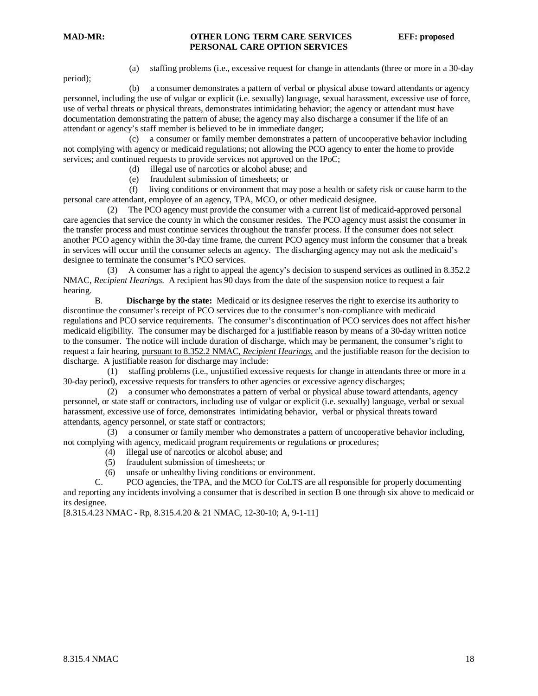period);

(a) staffing problems (i.e., excessive request for change in attendants (three or more in a 30-day

 (b) a consumer demonstrates a pattern of verbal or physical abuse toward attendants or agency personnel, including the use of vulgar or explicit (i.e. sexually) language, sexual harassment, excessive use of force, use of verbal threats or physical threats, demonstrates intimidating behavior; the agency or attendant must have documentation demonstrating the pattern of abuse; the agency may also discharge a consumer if the life of an attendant or agency's staff member is believed to be in immediate danger;

 (c) a consumer or family member demonstrates a pattern of uncooperative behavior including not complying with agency or medicaid regulations; not allowing the PCO agency to enter the home to provide services; and continued requests to provide services not approved on the IPoC;

(d) illegal use of narcotics or alcohol abuse; and

(e) fraudulent submission of timesheets; or

 (f) living conditions or environment that may pose a health or safety risk or cause harm to the personal care attendant, employee of an agency, TPA, MCO, or other medicaid designee.

 (2) The PCO agency must provide the consumer with a current list of medicaid-approved personal care agencies that service the county in which the consumer resides. The PCO agency must assist the consumer in the transfer process and must continue services throughout the transfer process. If the consumer does not select another PCO agency within the 30-day time frame, the current PCO agency must inform the consumer that a break in services will occur until the consumer selects an agency. The discharging agency may not ask the medicaid's designee to terminate the consumer's PCO services.

 (3) A consumer has a right to appeal the agency's decision to suspend services as outlined in 8.352.2 NMAC, *Recipient Hearings*. A recipient has 90 days from the date of the suspension notice to request a fair hearing.

B. **Discharge by the state:** Medicaid or its designee reserves the right to exercise its authority to discontinue the consumer's receipt of PCO services due to the consumer's non-compliance with medicaid regulations and PCO service requirements. The consumer's discontinuation of PCO services does not affect his/her medicaid eligibility. The consumer may be discharged for a justifiable reason by means of a 30-day written notice to the consumer. The notice will include duration of discharge, which may be permanent, the consumer's right to request a fair hearing, pursuant to 8.352.2 NMAC, *Recipient Hearings,* and the justifiable reason for the decision to discharge. A justifiable reason for discharge may include:

 (1) staffing problems (i.e., unjustified excessive requests for change in attendants three or more in a 30-day period), excessive requests for transfers to other agencies or excessive agency discharges;

 (2) a consumer who demonstrates a pattern of verbal or physical abuse toward attendants, agency personnel, or state staff or contractors, including use of vulgar or explicit (i.e. sexually) language, verbal or sexual harassment, excessive use of force, demonstrates intimidating behavior, verbal or physical threats toward attendants, agency personnel, or state staff or contractors;

 (3) a consumer or family member who demonstrates a pattern of uncooperative behavior including, not complying with agency, medicaid program requirements or regulations or procedures;

- (4) illegal use of narcotics or alcohol abuse; and (5) fraudulent submission of timesheets: or
- (5) fraudulent submission of timesheets; or<br>(6) unsafe or unhealthy living conditions or
- (6) unsafe or unhealthy living conditions or environment.<br>  $C = PCO$  agencies the TPA and the MCO for CoLTS are

PCO agencies, the TPA, and the MCO for CoLTS are all responsible for properly documenting and reporting any incidents involving a consumer that is described in section B one through six above to medicaid or its designee.

[8.315.4.23 NMAC - Rp, 8.315.4.20 & 21 NMAC, 12-30-10; A, 9-1-11]